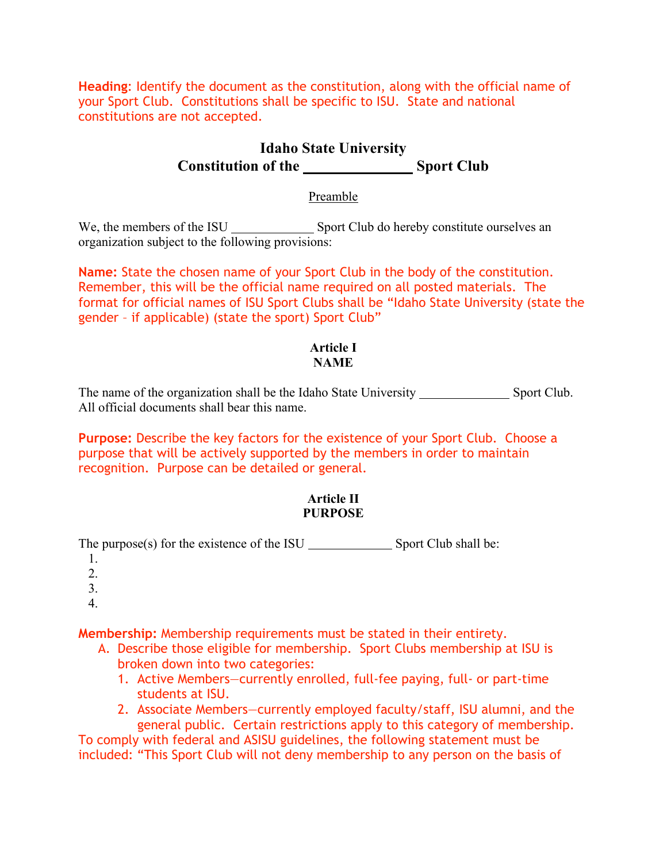**Heading**: Identify the document as the constitution, along with the official name of your Sport Club. Constitutions shall be specific to ISU. State and national constitutions are not accepted.

# **Idaho State University Constitution of the Sport Club**

## Preamble

We, the members of the ISU Sport Club do hereby constitute ourselves an organization subject to the following provisions:

**Name:** State the chosen name of your Sport Club in the body of the constitution. Remember, this will be the official name required on all posted materials. The format for official names of ISU Sport Clubs shall be "Idaho State University (state the gender – if applicable) (state the sport) Sport Club"

## **Article I NAME**

The name of the organization shall be the Idaho State University Sport Club. All official documents shall bear this name.

**Purpose:** Describe the key factors for the existence of your Sport Club. Choose a purpose that will be actively supported by the members in order to maintain recognition. Purpose can be detailed or general.

## **Article II PURPOSE**

The purpose(s) for the existence of the ISU  $\_\_\_\_\_\_\_\$  Sport Club shall be:

- 1.
- 2.
- 3.
- 4.

**Membership:** Membership requirements must be stated in their entirety.

- A. Describe those eligible for membership. Sport Clubs membership at ISU is broken down into two categories:
	- 1. Active Members—currently enrolled, full-fee paying, full- or part-time students at ISU.
	- 2. Associate Members—currently employed faculty/staff, ISU alumni, and the general public. Certain restrictions apply to this category of membership.

To comply with federal and ASISU guidelines, the following statement must be included: "This Sport Club will not deny membership to any person on the basis of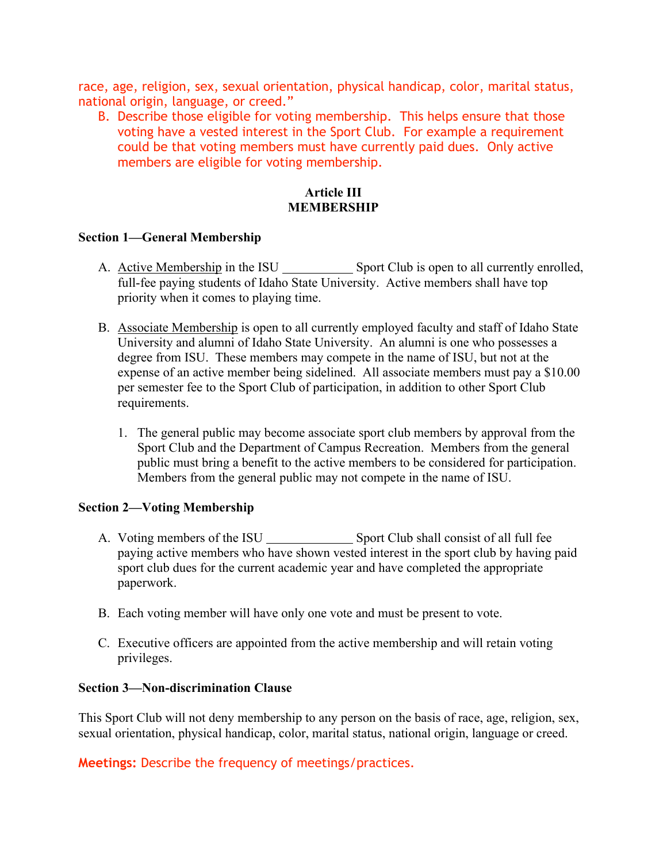race, age, religion, sex, sexual orientation, physical handicap, color, marital status, national origin, language, or creed."

B. Describe those eligible for voting membership. This helps ensure that those voting have a vested interest in the Sport Club. For example a requirement could be that voting members must have currently paid dues. Only active members are eligible for voting membership.

## **Article III MEMBERSHIP**

#### **Section 1—General Membership**

- A. Active Membership in the ISU Sport Club is open to all currently enrolled, full-fee paying students of Idaho State University. Active members shall have top priority when it comes to playing time.
- B. Associate Membership is open to all currently employed faculty and staff of Idaho State University and alumni of Idaho State University. An alumni is one who possesses a degree from ISU. These members may compete in the name of ISU, but not at the expense of an active member being sidelined. All associate members must pay a \$10.00 per semester fee to the Sport Club of participation, in addition to other Sport Club requirements.
	- 1. The general public may become associate sport club members by approval from the Sport Club and the Department of Campus Recreation. Members from the general public must bring a benefit to the active members to be considered for participation. Members from the general public may not compete in the name of ISU.

## **Section 2—Voting Membership**

- A. Voting members of the ISU Sport Club shall consist of all full fee paying active members who have shown vested interest in the sport club by having paid sport club dues for the current academic year and have completed the appropriate paperwork.
- B. Each voting member will have only one vote and must be present to vote.
- C. Executive officers are appointed from the active membership and will retain voting privileges.

#### **Section 3—Non-discrimination Clause**

This Sport Club will not deny membership to any person on the basis of race, age, religion, sex, sexual orientation, physical handicap, color, marital status, national origin, language or creed.

**Meetings:** Describe the frequency of meetings/practices.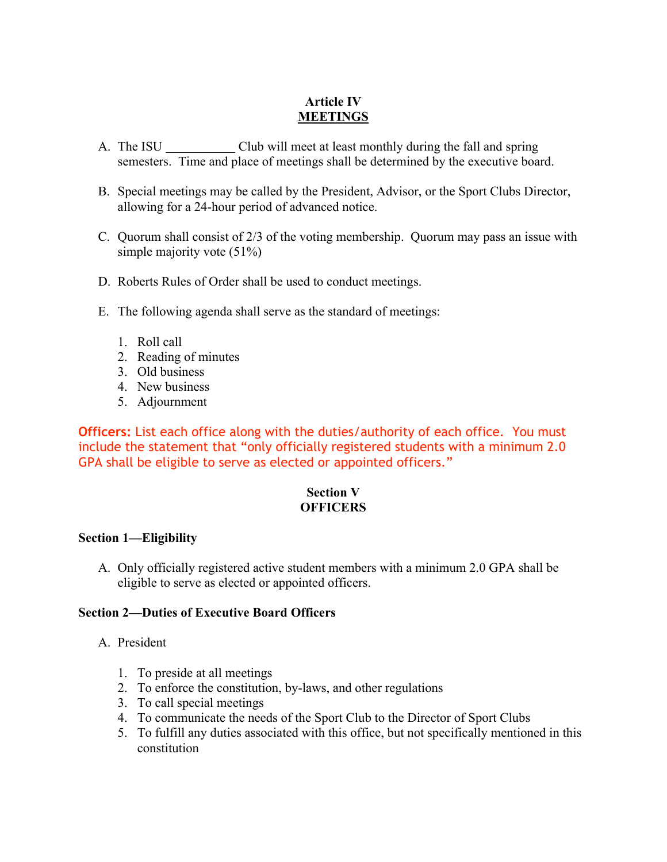## **Article IV MEETINGS**

- A. The ISU Club will meet at least monthly during the fall and spring semesters. Time and place of meetings shall be determined by the executive board.
- B. Special meetings may be called by the President, Advisor, or the Sport Clubs Director, allowing for a 24-hour period of advanced notice.
- C. Quorum shall consist of 2/3 of the voting membership. Quorum may pass an issue with simple majority vote (51%)
- D. Roberts Rules of Order shall be used to conduct meetings.
- E. The following agenda shall serve as the standard of meetings:
	- 1. Roll call
	- 2. Reading of minutes
	- 3. Old business
	- 4. New business
	- 5. Adjournment

**Officers:** List each office along with the duties/authority of each office. You must include the statement that "only officially registered students with a minimum 2.0 GPA shall be eligible to serve as elected or appointed officers."

## **Section V OFFICERS**

## **Section 1—Eligibility**

A. Only officially registered active student members with a minimum 2.0 GPA shall be eligible to serve as elected or appointed officers.

## **Section 2—Duties of Executive Board Officers**

## A. President

- 1. To preside at all meetings
- 2. To enforce the constitution, by-laws, and other regulations
- 3. To call special meetings
- 4. To communicate the needs of the Sport Club to the Director of Sport Clubs
- 5. To fulfill any duties associated with this office, but not specifically mentioned in this constitution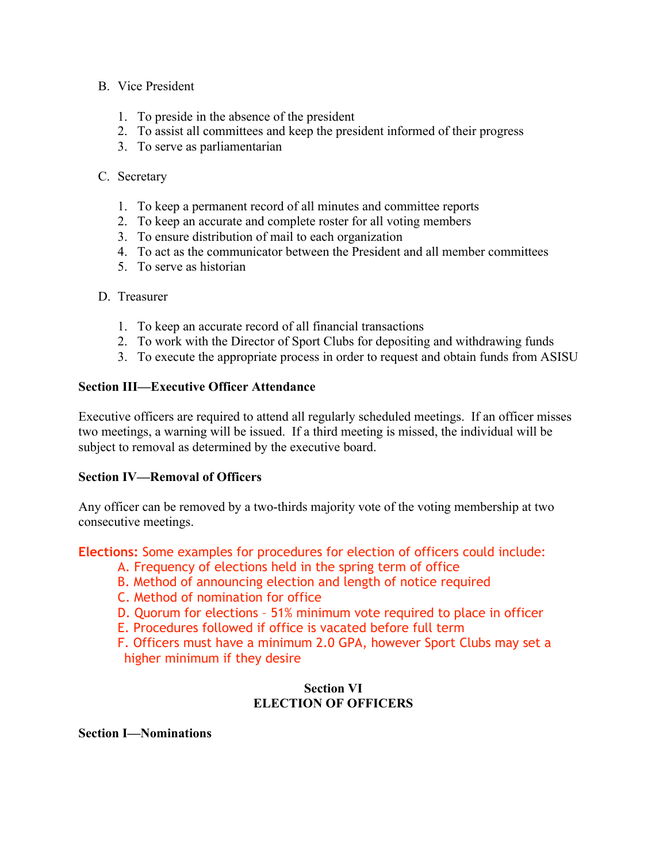## B. Vice President

- 1. To preside in the absence of the president
- 2. To assist all committees and keep the president informed of their progress
- 3. To serve as parliamentarian

#### C. Secretary

- 1. To keep a permanent record of all minutes and committee reports
- 2. To keep an accurate and complete roster for all voting members
- 3. To ensure distribution of mail to each organization
- 4. To act as the communicator between the President and all member committees
- 5. To serve as historian
- D. Treasurer
	- 1. To keep an accurate record of all financial transactions
	- 2. To work with the Director of Sport Clubs for depositing and withdrawing funds
	- 3. To execute the appropriate process in order to request and obtain funds from ASISU

## **Section III—Executive Officer Attendance**

Executive officers are required to attend all regularly scheduled meetings. If an officer misses two meetings, a warning will be issued. If a third meeting is missed, the individual will be subject to removal as determined by the executive board.

#### **Section IV—Removal of Officers**

Any officer can be removed by a two-thirds majority vote of the voting membership at two consecutive meetings.

**Elections:** Some examples for procedures for election of officers could include:

- A. Frequency of elections held in the spring term of office
- B. Method of announcing election and length of notice required
- C. Method of nomination for office
- D. Quorum for elections 51% minimum vote required to place in officer
- E. Procedures followed if office is vacated before full term

F. Officers must have a minimum 2.0 GPA, however Sport Clubs may set a higher minimum if they desire

## **Section VI ELECTION OF OFFICERS**

**Section I—Nominations**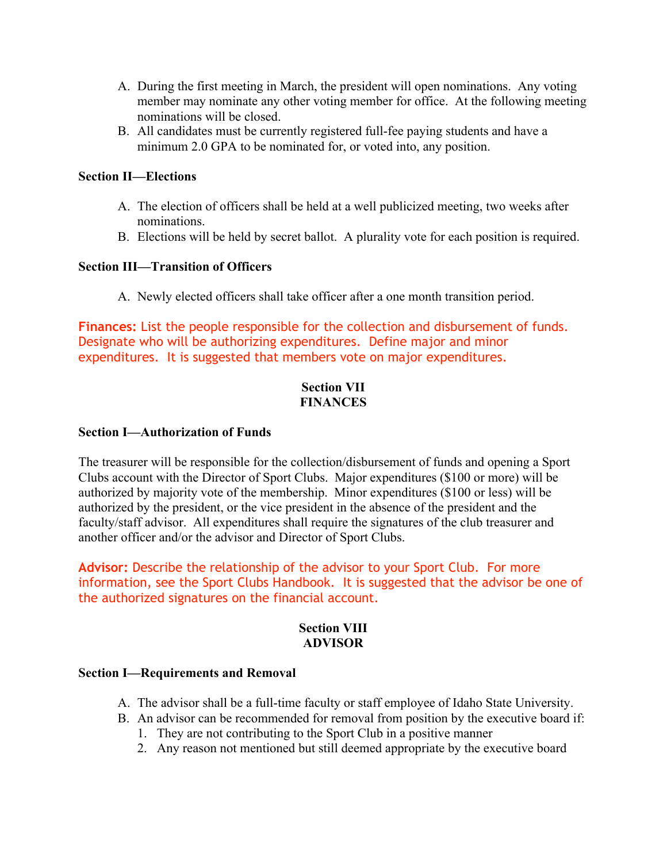- A. During the first meeting in March, the president will open nominations. Any voting member may nominate any other voting member for office. At the following meeting nominations will be closed.
- B. All candidates must be currently registered full-fee paying students and have a minimum 2.0 GPA to be nominated for, or voted into, any position.

## **Section II—Elections**

- A. The election of officers shall be held at a well publicized meeting, two weeks after nominations.
- B. Elections will be held by secret ballot. A plurality vote for each position is required.

## **Section III—Transition of Officers**

A. Newly elected officers shall take officer after a one month transition period.

**Finances:** List the people responsible for the collection and disbursement of funds. Designate who will be authorizing expenditures. Define major and minor expenditures. It is suggested that members vote on major expenditures.

#### **Section VII FINANCES**

#### **Section I—Authorization of Funds**

The treasurer will be responsible for the collection/disbursement of funds and opening a Sport Clubs account with the Director of Sport Clubs. Major expenditures (\$100 or more) will be authorized by majority vote of the membership. Minor expenditures (\$100 or less) will be authorized by the president, or the vice president in the absence of the president and the faculty/staff advisor. All expenditures shall require the signatures of the club treasurer and another officer and/or the advisor and Director of Sport Clubs.

**Advisor:** Describe the relationship of the advisor to your Sport Club. For more information, see the Sport Clubs Handbook. It is suggested that the advisor be one of the authorized signatures on the financial account.

## **Section VIII ADVISOR**

#### **Section I—Requirements and Removal**

- A. The advisor shall be a full-time faculty or staff employee of Idaho State University.
- B. An advisor can be recommended for removal from position by the executive board if:
	- 1. They are not contributing to the Sport Club in a positive manner
	- 2. Any reason not mentioned but still deemed appropriate by the executive board